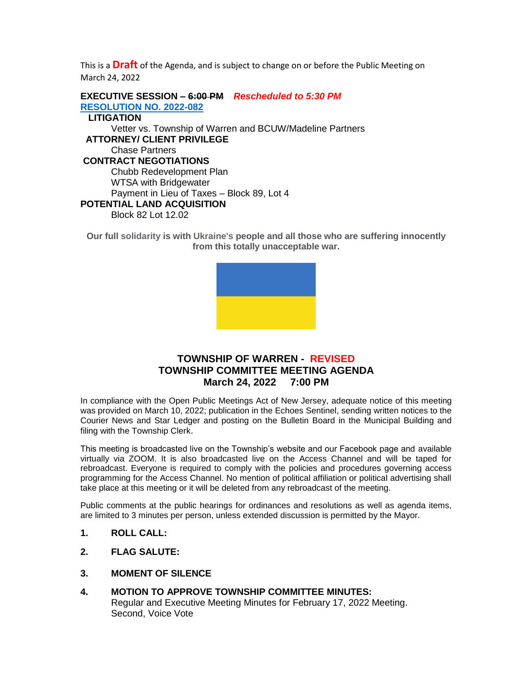This is a **Draft** of the Agenda, and is subject to change on or before the Public Meeting on March 24, 2022

**EXECUTIVE SESSION – 6:00 PM** *Rescheduled to 5:30 PM* **[RESOLUTION NO.](https://nj-warrentownship.civicplus.com/DocumentCenter/View/5538/2022-082-Executive-Session-March-PDF) 2022-082 LITIGATION** Vetter vs. Township of Warren and BCUW/Madeline Partners  **ATTORNEY/ CLIENT PRIVILEGE** Chase Partners **CONTRACT NEGOTIATIONS** Chubb Redevelopment Plan WTSA with Bridgewater Payment in Lieu of Taxes – Block 89, Lot 4 **POTENTIAL LAND ACQUISITION** Block 82 Lot 12.02

**Our full solidarity is with Ukraine's people and all those who are suffering innocently from this totally unacceptable war.**



# **TOWNSHIP OF WARREN - REVISED TOWNSHIP COMMITTEE MEETING AGENDA March 24, 2022 7:00 PM**

In compliance with the Open Public Meetings Act of New Jersey, adequate notice of this meeting was provided on March 10, 2022; publication in the Echoes Sentinel, sending written notices to the Courier News and Star Ledger and posting on the Bulletin Board in the Municipal Building and filing with the Township Clerk.

This meeting is broadcasted live on the Township's website and our Facebook page and available virtually via ZOOM. It is also broadcasted live on the Access Channel and will be taped for rebroadcast. Everyone is required to comply with the policies and procedures governing access programming for the Access Channel. No mention of political affiliation or political advertising shall take place at this meeting or it will be deleted from any rebroadcast of the meeting.

Public comments at the public hearings for ordinances and resolutions as well as agenda items, are limited to 3 minutes per person, unless extended discussion is permitted by the Mayor.

- **1. ROLL CALL:**
- **2. FLAG SALUTE:**
- **3. MOMENT OF SILENCE**
- **4. MOTION TO APPROVE TOWNSHIP COMMITTEE MINUTES:** Regular and Executive Meeting Minutes for February 17, 2022 Meeting. Second, Voice Vote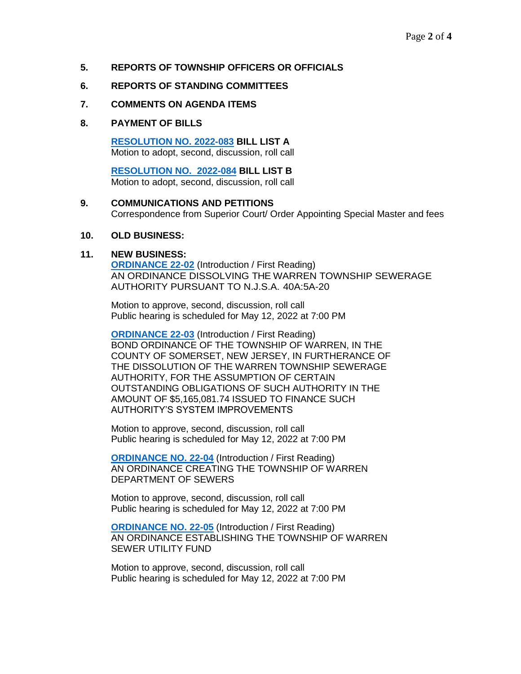## **5. REPORTS OF TOWNSHIP OFFICERS OR OFFICIALS**

### **6. REPORTS OF STANDING COMMITTEES**

#### **7. COMMENTS ON AGENDA ITEMS**

### **8. PAYMENT OF BILLS**

**[RESOLUTION NO. 2022-083](https://nj-warrentownship.civicplus.com/DocumentCenter/View/5535/2022-083-Bill-List-A-PDF) BILL LIST A** Motion to adopt, second, discussion, roll call

 **[RESOLUTION NO. 2022-084](https://nj-warrentownship.civicplus.com/DocumentCenter/View/5536/2022-084-Bill-List-B-PDF) BILL LIST B** Motion to adopt, second, discussion, roll call

## **9. COMMUNICATIONS AND PETITIONS** Correspondence from Superior Court/ Order Appointing Special Master and fees

#### **10. OLD BUSINESS:**

#### **11. NEW BUSINESS:**

**[ORDINANCE 22-02](https://nj-warrentownship.civicplus.com/DocumentCenter/View/5530/Ordinance-22-02-Dissolving-the-Warren-Township-Sewerage-Authority-PDF)** (Introduction / First Reading) AN ORDINANCE DISSOLVING THE WARREN TOWNSHIP SEWERAGE AUTHORITY PURSUANT TO N.J.S.A. 40A:5A-20

Motion to approve, second, discussion, roll call Public hearing is scheduled for May 12, 2022 at 7:00 PM

**[ORDINANCE 22-03](https://nj-warrentownship.civicplus.com/DocumentCenter/View/5531/Ordinance--22-03-Bond-Ordinance-for-WTSA-Obligations-Dissolution-PDF)** (Introduction / First Reading) BOND ORDINANCE OF THE TOWNSHIP OF WARREN, IN THE COUNTY OF SOMERSET, NEW JERSEY, IN FURTHERANCE OF THE DISSOLUTION OF THE WARREN TOWNSHIP SEWERAGE AUTHORITY, FOR THE ASSUMPTION OF CERTAIN OUTSTANDING OBLIGATIONS OF SUCH AUTHORITY IN THE AMOUNT OF \$5,165,081.74 ISSUED TO FINANCE SUCH AUTHORITY'S SYSTEM IMPROVEMENTS

Motion to approve, second, discussion, roll call Public hearing is scheduled for May 12, 2022 at 7:00 PM

**[ORDINANCE NO. 22-04](https://nj-warrentownship.civicplus.com/DocumentCenter/View/5532/Ordinance--22-04-Establishing-Department-of-Sewers-PDF)** (Introduction / First Reading) AN ORDINANCE CREATING THE TOWNSHIP OF WARREN DEPARTMENT OF SEWERS

Motion to approve, second, discussion, roll call Public hearing is scheduled for May 12, 2022 at 7:00 PM

**[ORDINANCE NO. 22-05](https://nj-warrentownship.civicplus.com/DocumentCenter/View/5533/Ordinance--22-05--Creating-Sewer-Utility-Fund-PDF)** (Introduction / First Reading) AN ORDINANCE ESTABLISHING THE TOWNSHIP OF WARREN SEWER UTILITY FUND

Motion to approve, second, discussion, roll call Public hearing is scheduled for May 12, 2022 at 7:00 PM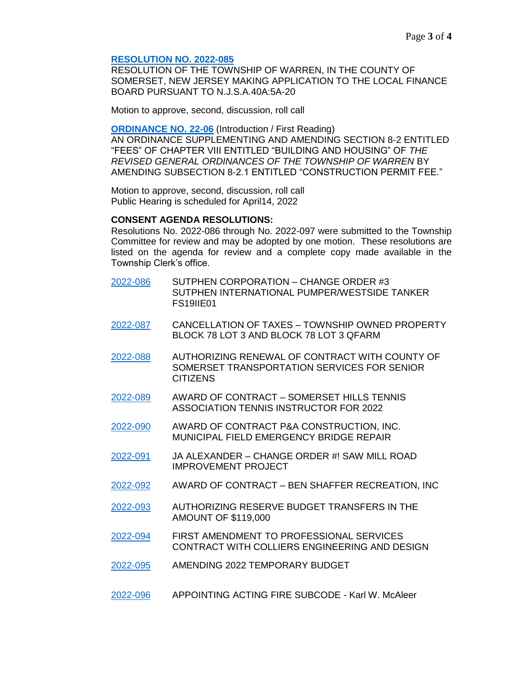#### **[RESOLUTION NO. 2022-085](https://nj-warrentownship.civicplus.com/DocumentCenter/View/5518/2022-085-Resolution-Making-Application-to-the-Local-Finance-Board-Pursuant-to-NJSA-40A5A-20-PDF)**

RESOLUTION OF THE TOWNSHIP OF WARREN, IN THE COUNTY OF SOMERSET, NEW JERSEY MAKING APPLICATION TO THE LOCAL FINANCE BOARD PURSUANT TO N.J.S.A.40A:5A-20

Motion to approve, second, discussion, roll call

**[ORDINANCE NO. 22-06](https://nj-warrentownship.civicplus.com/DocumentCenter/View/5534/Ordinance-22-06-Amending-Fee-For-Reinstatement-of-a-Construction-Permit-PDF)** (Introduction / First Reading) AN ORDINANCE SUPPLEMENTING AND AMENDING SECTION 8-2 ENTITLED "FEES" OF CHAPTER VIII ENTITLED "BUILDING AND HOUSING" OF *THE REVISED GENERAL ORDINANCES OF THE TOWNSHIP OF WARREN* BY AMENDING SUBSECTION 8-2.1 ENTITLED "CONSTRUCTION PERMIT FEE."

Motion to approve, second, discussion, roll call Public Hearing is scheduled for April14, 2022

#### **CONSENT AGENDA RESOLUTIONS:**

Resolutions No. 2022-086 through No. 2022-097 were submitted to the Township Committee for review and may be adopted by one motion. These resolutions are listed on the agenda for review and a complete copy made available in the Township Clerk's office.

- [2022-086](https://nj-warrentownship.civicplus.com/DocumentCenter/View/5519/2022-086-Change-Order-3--Pumper-Westside-Tanker-PDF) SUTPHEN CORPORATION CHANGE ORDER #3 SUTPHEN INTERNATIONAL PUMPER/WESTSIDE TANKER FS19IIE01
- [2022-087](https://nj-warrentownship.civicplus.com/DocumentCenter/View/5520/2022-087-Cancellation-of-Taxes-Block-78-Lot-3-PDF) CANCELLATION OF TAXES TOWNSHIP OWNED PROPERTY BLOCK 78 LOT 3 AND BLOCK 78 LOT 3 QFARM
- [2022-088](https://nj-warrentownship.civicplus.com/DocumentCenter/View/5521/2022-088-Transportation-Service-Agreement-PDF) AUTHORIZING RENEWAL OF CONTRACT WITH COUNTY OF SOMERSET TRANSPORTATION SERVICES FOR SENIOR **CITIZENS**
- [2022-089](https://nj-warrentownship.civicplus.com/DocumentCenter/View/5522/2022-089-Award-of-Contract---Pay-to-Play---Somerset-Tennis-Assoc-PDF) AWARD OF CONTRACT SOMERSET HILLS TENNIS ASSOCIATION TENNIS INSTRUCTOR FOR 2022
- [2022-090](https://nj-warrentownship.civicplus.com/DocumentCenter/View/5537/2022-090-Award-of-Contract---Bridge-Repair---P-and-A-Construction-PDF) AWARD OF CONTRACT P&A CONSTRUCTION, INC. MUNICIPAL FIELD EMERGENCY BRIDGE REPAIR
- [2022-091](https://warrennj.org/DocumentCenter/View/5545/2022-091-JA-Alexander-Change-Order-1---Saw-Mill-Road-Improvements-PDF) JA ALEXANDER CHANGE ORDER #! SAW MILL ROAD IMPROVEMENT PROJECT
- [2022-092](https://nj-warrentownship.civicplus.com/DocumentCenter/View/5524/2022-092-Award-of-Contract-Ben-Shaffer-Recreation-Inc-PDF) AWARD OF CONTRACT BEN SHAFFER RECREATION, INC
- [2022-093](https://nj-warrentownship.civicplus.com/DocumentCenter/View/5525/2022-093-Authorizing-2021-Reserve-Budget-Transfers-for-119000-dollars-PDF) AUTHORIZING RESERVE BUDGET TRANSFERS IN THE AMOUNT OF \$119,000
- [2022-094](https://nj-warrentownship.civicplus.com/DocumentCenter/View/5526/2022-094-First-Amendment-to-Contract-with-Colliers-PDF) FIRST AMENDMENT TO PROFESSIONAL SERVICES CONTRACT WITH COLLIERS ENGINEERING AND DESIGN
- [2022-095](https://nj-warrentownship.civicplus.com/DocumentCenter/View/5527/2022-095-Amending-2022-Temporary-Budget-PDF) AMENDING 2022 TEMPORARY BUDGET
- [2022-096](https://warrennj.org/DocumentCenter/View/5543/2022-096--Appointing-Acting-Fire-Subcode---Karl-W-McAleer-PDF) APPOINTING ACTING FIRE SUBCODE Karl W. McAleer